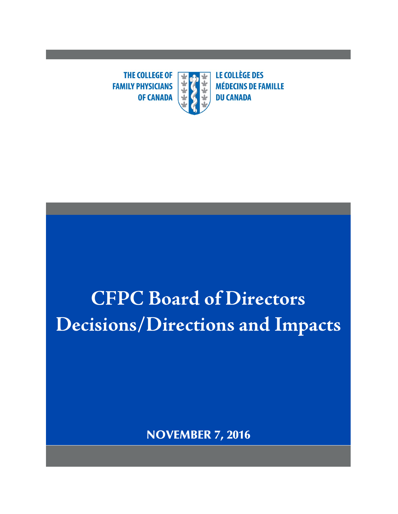**THE COLLEGE OF**  $\overline{\textbf{r}}$ **FAMILY PHYSICIANS OF CANADA** 

**LE COLLÈGE DES MÉDECINS DE FAMILLE DU CANADA** 

# **CFPC Board of Directors Decisions/Directions and Impacts**

NOVEMBER 7, 2016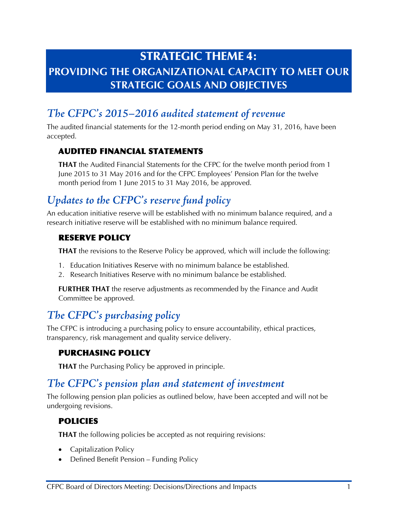# STRATEGIC THEME 4: **PROVIDING THE ORGANIZATIONAL CAPACITY TO MEET OUR STRATEGIC GOALS AND OBJECTIVES**

## *The CFPC's 2015–2016 audited statement of revenue*

The audited financial statements for the 12-month period ending on May 31, 2016, have been accepted.

#### AUDITED FINANCIAL STATEMENTS

**THAT** the Audited Financial Statements for the CFPC for the twelve month period from 1 June 2015 to 31 May 2016 and for the CFPC Employees' Pension Plan for the twelve month period from 1 June 2015 to 31 May 2016, be approved.

## *Updates to the CFPC's reserve fund policy*

An education initiative reserve will be established with no minimum balance required, and a research initiative reserve will be established with no minimum balance required.

#### RESERVE POLICY

**THAT** the revisions to the Reserve Policy be approved, which will include the following:

- 1. Education Initiatives Reserve with no minimum balance be established.
- 2. Research Initiatives Reserve with no minimum balance be established.

**FURTHER THAT** the reserve adjustments as recommended by the Finance and Audit Committee be approved.

## *The CFPC's purchasing policy*

The CFPC is introducing a purchasing policy to ensure accountability, ethical practices, transparency, risk management and quality service delivery.

#### PURCHASING POLICY

**THAT** the Purchasing Policy be approved in principle.

## *The CFPC's pension plan and statement of investment*

The following pension plan policies as outlined below, have been accepted and will not be undergoing revisions.

#### POLICIES

**THAT** the following policies be accepted as not requiring revisions:

- Capitalization Policy
- Defined Benefit Pension Funding Policy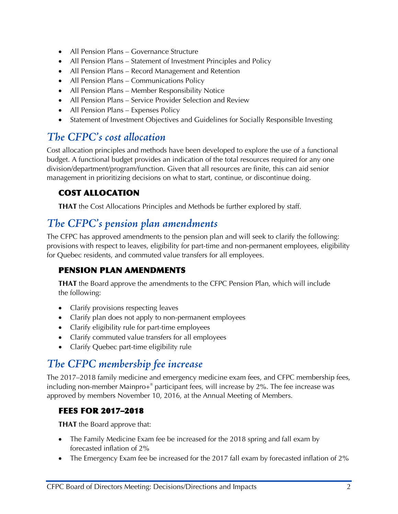- All Pension Plans Governance Structure
- All Pension Plans Statement of Investment Principles and Policy
- All Pension Plans Record Management and Retention
- All Pension Plans Communications Policy
- All Pension Plans Member Responsibility Notice
- All Pension Plans Service Provider Selection and Review
- All Pension Plans Expenses Policy
- Statement of Investment Objectives and Guidelines for Socially Responsible Investing

## *The CFPC's cost allocation*

Cost allocation principles and methods have been developed to explore the use of a functional budget. A functional budget provides an indication of the total resources required for any one division/department/program/function. Given that all resources are finite, this can aid senior management in prioritizing decisions on what to start, continue, or discontinue doing.

#### COST ALLOCATION

**THAT** the Cost Allocations Principles and Methods be further explored by staff.

## *The CFPC's pension plan amendments*

The CFPC has approved amendments to the pension plan and will seek to clarify the following: provisions with respect to leaves, eligibility for part-time and non-permanent employees, eligibility for Quebec residents, and commuted value transfers for all employees.

#### PENSION PLAN AMENDMENTS

**THAT** the Board approve the amendments to the CFPC Pension Plan, which will include the following:

- Clarify provisions respecting leaves
- Clarify plan does not apply to non-permanent employees
- Clarify eligibility rule for part-time employees
- Clarify commuted value transfers for all employees
- Clarify Quebec part-time eligibility rule

## *The CFPC membership fee increase*

The 2017–2018 family medicine and emergency medicine exam fees, and CFPC membership fees, including non-member Mainpro+® participant fees, will increase by 2%. The fee increase was approved by members November 10, 2016, at the Annual Meeting of Members.

#### FEES FOR 2017–2018

**THAT** the Board approve that:

- The Family Medicine Exam fee be increased for the 2018 spring and fall exam by forecasted inflation of 2%
- The Emergency Exam fee be increased for the 2017 fall exam by forecasted inflation of 2%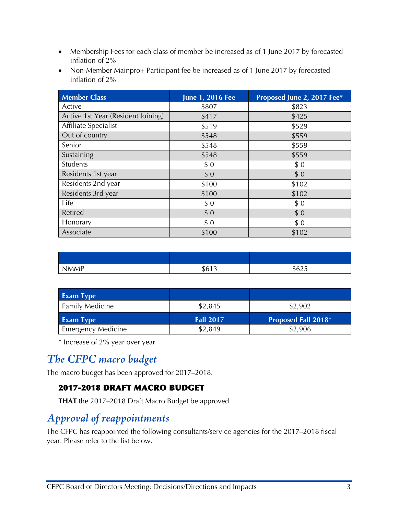- Membership Fees for each class of member be increased as of 1 June 2017 by forecasted inflation of 2%
- Non-Member Mainpro+ Participant fee be increased as of 1 June 2017 by forecasted inflation of 2%

| <b>Member Class</b>                | June 1, 2016 Fee | Proposed June 2, 2017 Fee* |
|------------------------------------|------------------|----------------------------|
| Active                             | \$807            | \$823                      |
| Active 1st Year (Resident Joining) | \$417            | \$425                      |
| Affiliate Specialist               | \$519            | \$529                      |
| Out of country                     | \$548            | \$559                      |
| Senior                             | \$548            | \$559                      |
| Sustaining                         | \$548            | \$559                      |
| Students                           | \$0              | \$0                        |
| Residents 1st year                 | \$0              | \$0                        |
| Residents 2nd year                 | \$100            | \$102                      |
| Residents 3rd year                 | \$100            | \$102                      |
| Life                               | \$0              | \$0                        |
| <b>Retired</b>                     | \$0              | \$0                        |
| Honorary                           | \$0              | \$0                        |
| Associate                          | \$100            | \$102                      |

| <b>MMP</b> | $\sim$<br>$\sim$<br>כ ו טי<br>٠. | $\sim$ $\sim$ $\sim$<br>ሖ<br>50Z5 |
|------------|----------------------------------|-----------------------------------|

| <b>Exam Type</b>          |                  |                     |
|---------------------------|------------------|---------------------|
| <b>Family Medicine</b>    | \$2,845          | \$2,902             |
| <b>Exam Type</b>          | <b>Fall 2017</b> | Proposed Fall 2018* |
| <b>Emergency Medicine</b> | \$2,849          | \$2,906             |

\* Increase of 2% year over year

## *The CFPC macro budget*

The macro budget has been approved for 2017–2018.

#### 2017-2018 DRAFT MACRO BUDGET

**THAT** the 2017–2018 Draft Macro Budget be approved.

## *Approval of reappointments*

The CFPC has reappointed the following consultants/service agencies for the 2017–2018 fiscal year. Please refer to the list below.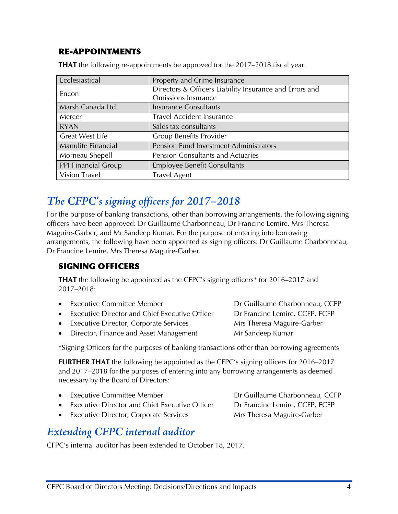#### RE-APPOINTMENTS

| Ecclesiastical         | Property and Crime Insurance                            |
|------------------------|---------------------------------------------------------|
| Encon                  | Directors & Officers Liability Insurance and Errors and |
|                        | Omissions Insurance                                     |
| Marsh Canada Ltd.      | <b>Insurance Consultants</b>                            |
| Mercer                 | Travel Accident Insurance                               |
| <b>RYAN</b>            | Sales tax consultants                                   |
| <b>Great West Life</b> | <b>Group Benefits Provider</b>                          |
| Manulife Financial     | Pension Fund Investment Administrators                  |
| Morneau Shepell        | Pension Consultants and Actuaries                       |
| PPI Financial Group    | <b>Employee Benefit Consultants</b>                     |
| Vision Travel          | <b>Travel Agent</b>                                     |

**THAT** the following re-appointments be approved for the 2017–2018 fiscal year.

## *The CFPC's signing officers for 2017–2018*

For the purpose of banking transactions, other than borrowing arrangements, the following signing officers have been approved: Dr Guillaume Charbonneau, Dr Francine Lemire, Mrs Theresa Maguire-Garber, and Mr Sandeep Kumar. For the purpose of entering into borrowing arrangements, the following have been appointed as signing officers: Dr Guillaume Charbonneau, Dr Francine Lemire, Mrs Theresa Maguire-Garber.

#### SIGNING OFFICERS

**THAT** the following be appointed as the CFPC's signing officers\* for 2016–2017 and 2017–2018:

| • Executive Committee Member                     | Dr Guillaume Charbonneau, CCFP |
|--------------------------------------------------|--------------------------------|
| • Executive Director and Chief Executive Officer | Dr Francine Lemire, CCFP, FCFP |
|                                                  |                                |

- **Executive Director, Corporate Services** Mrs Theresa Maguire-Garber
- Director, Finance and Asset Management Mr Sandeep Kumar

\*Signing Officers for the purposes of banking transactions other than borrowing agreements

**FURTHER THAT** the following be appointed as the CFPC's signing officers for 2016–2017 and 2017–2018 for the purposes of entering into any borrowing arrangements as deemed necessary by the Board of Directors:

| • Executive Committee Member                     | Dr Guillaume Charbonneau, CCFP |
|--------------------------------------------------|--------------------------------|
| • Executive Director and Chief Executive Officer | Dr Francine Lemire, CCFP, FCFP |
| • Executive Director, Corporate Services         | Mrs Theresa Maguire-Garber     |
|                                                  |                                |

## *Extending CFPC internal auditor*

CFPC's internal auditor has been extended to October 18, 2017.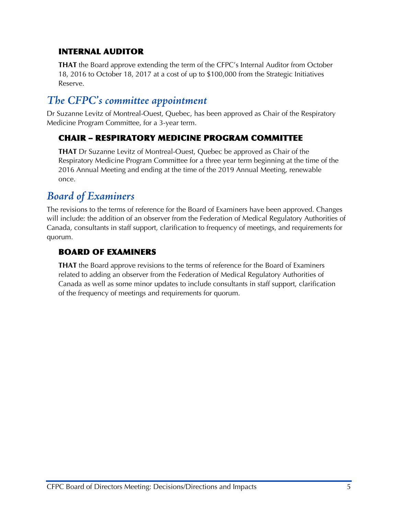#### INTERNAL AUDITOR

**THAT** the Board approve extending the term of the CFPC's Internal Auditor from October 18, 2016 to October 18, 2017 at a cost of up to \$100,000 from the Strategic Initiatives Reserve.

## *The CFPC's committee appointment*

Dr Suzanne Levitz of Montreal-Ouest, Quebec, has been approved as Chair of the Respiratory Medicine Program Committee, for a 3-year term.

#### CHAIR – RESPIRATORY MEDICINE PROGRAM COMMITTEE

**THAT** Dr Suzanne Levitz of Montreal-Ouest, Quebec be approved as Chair of the Respiratory Medicine Program Committee for a three year term beginning at the time of the 2016 Annual Meeting and ending at the time of the 2019 Annual Meeting, renewable once.

## *Board of Examiners*

The revisions to the terms of reference for the Board of Examiners have been approved. Changes will include: the addition of an observer from the Federation of Medical Regulatory Authorities of Canada, consultants in staff support, clarification to frequency of meetings, and requirements for quorum.

#### BOARD OF EXAMINERS

**THAT** the Board approve revisions to the terms of reference for the Board of Examiners related to adding an observer from the Federation of Medical Regulatory Authorities of Canada as well as some minor updates to include consultants in staff support, clarification of the frequency of meetings and requirements for quorum.